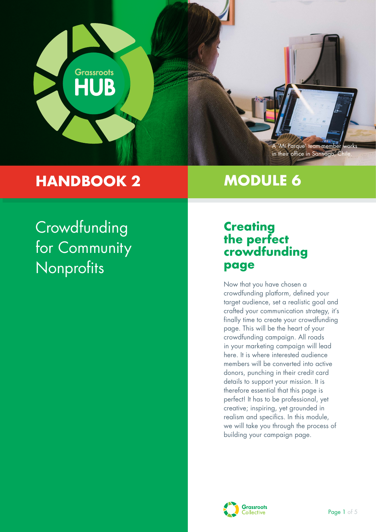

## **HANDBOOK 2**

## **MODULE 6**

## **Crowdfunding** for Community **Nonprofits**

### **Creating the perfect crowdfunding page**

Now that you have chosen a crowdfunding platform, defined your target audience, set a realistic goal and crafted your communication strategy, it's finally time to create your crowdfunding page. This will be the heart of your crowdfunding campaign. All roads in your marketing campaign will lead here. It is where interested audience members will be converted into active donors, punching in their credit card details to support your mission. It is therefore essential that this page is perfect! It has to be professional, yet creative; inspiring, yet grounded in realism and specifics. In this module, we will take you through the process of building your campaign page.

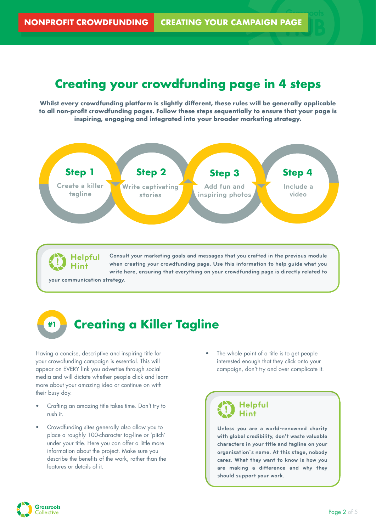### **Creating your crowdfunding page in 4 steps**

**Whilst every crowdfunding platform is slightly different, these rules will be generally applicable to all non-profit crowdfunding pages. Follow these steps sequentially to ensure that your page is inspiring, engaging and integrated into your broader marketing strategy.**



**Helpful Hint**

**Consult your marketing goals and messages that you crafted in the previous module when creating your crowdfunding page. Use this information to help guide what you write here, ensuring that everything on your crowdfunding page is directly related to**

**your communication strategy.**

## **#1 Creating a Killer Tagline**

Having a concise, descriptive and inspiring title for your crowdfunding campaign is essential. This will appear on EVERY link you advertise through social media and will dictate whether people click and learn more about your amazing idea or continue on with their busy day.

- Crafting an amazing title takes time. Don't try to rush it.
- Crowdfunding sites generally also allow you to place a roughly 100-character tag-line or 'pitch' under your title. Here you can offer a little more information about the project. Make sure you describe the benefits of the work, rather than the features or details of it.

The whole point of a title is to get people interested enough that they click onto your campaign, don't try and over complicate it.



**Unless you are a world-renowned charity with global credibility, don't waste valuable characters in your title and tagline on your organisation`s name. At this stage, nobody cares. What they want to know is how you are making a difference and why they should support your work.** 

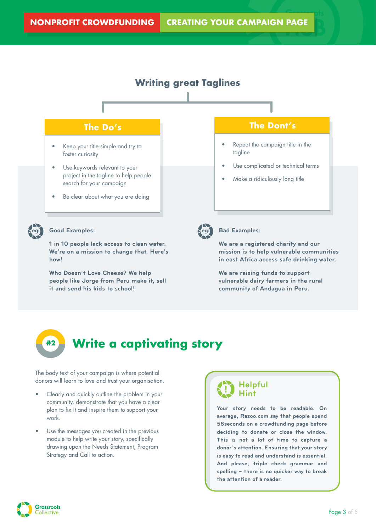

**1 in 10 people lack access to clean water. We're on a mission to change that. Here's how!**

**Who Doesn't Love Cheese? We help people like Jorge from Peru make it, sell it and send his kids to school!**

**in east Africa access safe drinking water. We are raising funds to support vulnerable dairy farmers in the rural** 

**We are a registered charity and our mission is to help vulnerable communities** 

**community of Andagua in Peru.**

# **#2 Write a captivating story**

The body text of your campaign is where potential donors will learn to love and trust your organisation.

- Clearly and quickly outline the problem in your community, demonstrate that you have a clear plan to fix it and inspire them to support your work.
- Use the messages you created in the previous module to help write your story, specifically drawing upon the Needs Statement, Program Strategy and Call to action.

#### **Helpful Hint**

**Your story needs to be readable. On average, Razoo.com say that people spend 58seconds on a crowdfunding page before deciding to donate or close the window. This is not a lot of time to capture a donor`s attention. Ensuring that your story is easy to read and understand is essential. And please, triple check grammar and spelling – there is no quicker way to break the attention of a reader.**

**Grassroots** ollective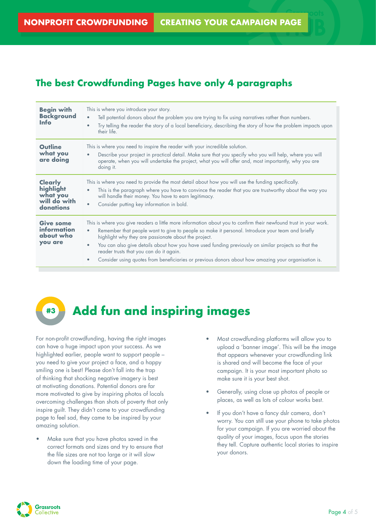### **The best Crowdfunding Pages have only 4 paragraphs**

| <b>Begin with</b><br><b>Background</b><br><b>Info</b>                | This is where you introduce your story.<br>Tell potential donors about the problem you are trying to fix using narratives rather than numbers.<br>$\bullet$<br>Try telling the reader the story of a local beneficiary, describing the story of how the problem impacts upon<br>their life.                                                                                                                                                                                                                                                         |
|----------------------------------------------------------------------|-----------------------------------------------------------------------------------------------------------------------------------------------------------------------------------------------------------------------------------------------------------------------------------------------------------------------------------------------------------------------------------------------------------------------------------------------------------------------------------------------------------------------------------------------------|
| Outline<br>what you<br>are doing                                     | This is where you need to inspire the reader with your incredible solution.<br>Describe your project in practical detail. Make sure that you specify who you will help, where you will<br>operate, when you will undertake the project, what you will offer and, most importantly, why you are<br>doing it.                                                                                                                                                                                                                                         |
| <b>Clearly</b><br>highlight<br>what you<br>will do with<br>donations | This is where you need to provide the most detail about how you will use the funding specifically.<br>This is the paragraph where you have to convince the reader that you are trustworthy about the way you<br>will handle their money. You have to earn legitimacy.<br>Consider putting key information in bold.<br>$\bullet$                                                                                                                                                                                                                     |
| <b>Give some</b><br><i>information</i><br>about who<br>you are       | This is where you give readers a little more information about you to confirm their newfound trust in your work.<br>Remember that people want to give to people so make it personal. Introduce your team and briefly<br>highlight why they are passionate about the project.<br>You can also give details about how you have used funding previously on similar projects so that the<br>reader trusts that you can do it again.<br>Consider using quotes from beneficiaries or previous donors about how amazing your organisation is.<br>$\bullet$ |

## **#3 Add fun and inspiring images**

For non-profit crowdfunding, having the right images can have a huge impact upon your success. As we highlighted earlier, people want to support people – you need to give your project a face, and a happy smiling one is best! Please don't fall into the trap of thinking that shocking negative imagery is best at motivating donations. Potential donors are far more motivated to give by inspiring photos of locals overcoming challenges than shots of poverty that only inspire guilt. They didn't come to your crowdfunding page to feel sad, they came to be inspired by your amazing solution.

• Make sure that you have photos saved in the correct formats and sizes and try to ensure that the file sizes are not too large or it will slow down the loading time of your page.

- Most crowdfunding platforms will allow you to upload a 'banner image'. This will be the image that appears whenever your crowdfunding link is shared and will become the face of your campaign. It is your most important photo so make sure it is your best shot.
- Generally, using close up photos of people or places, as well as lots of colour works best.
- If you don't have a fancy dslr camera, don't worry. You can still use your phone to take photos for your campaign. If you are worried about the quality of your images, focus upon the stories they tell. Capture authentic local stories to inspire your donors.